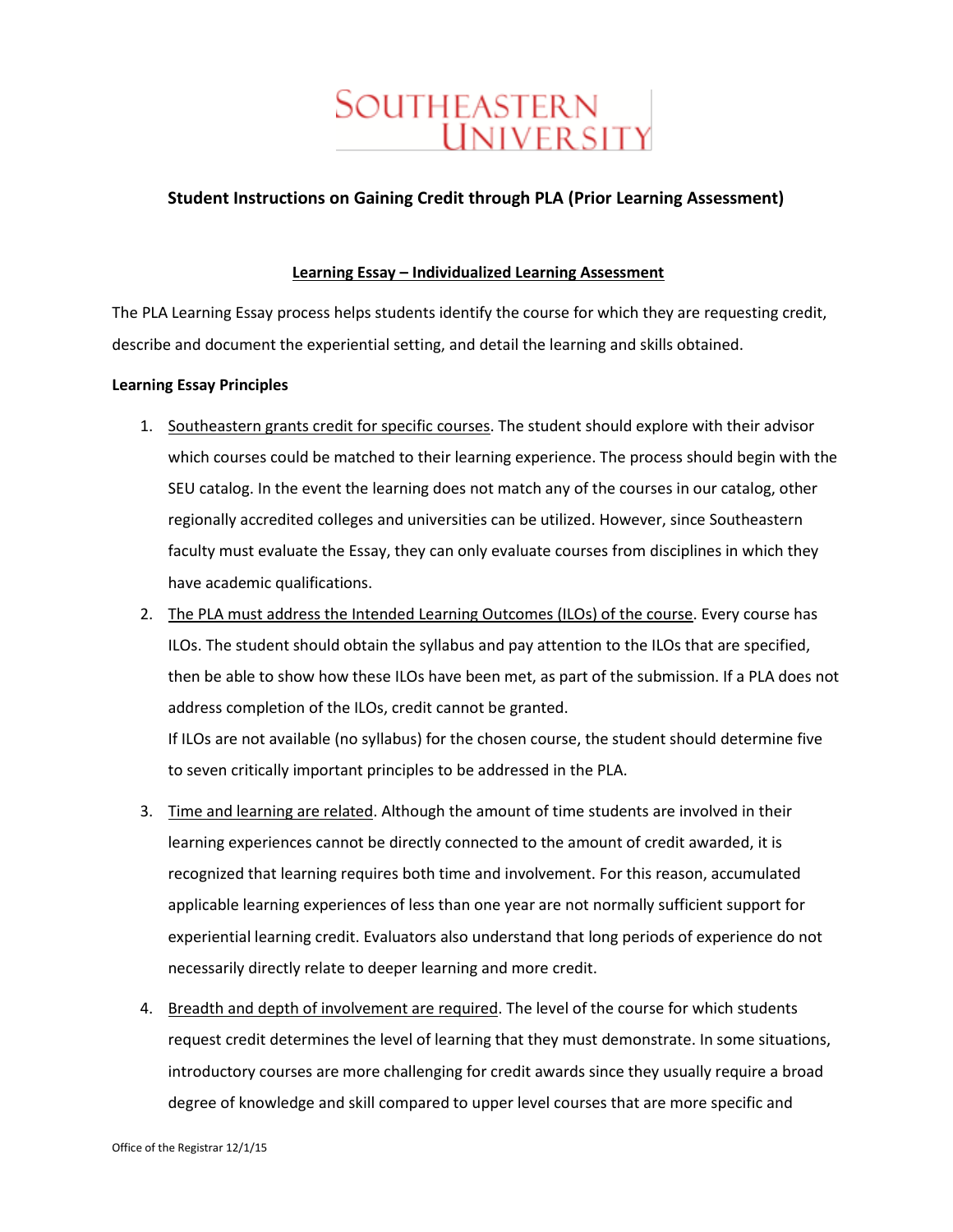# Southeastern **UNIVER SITY**

#### **Student Instructions on Gaining Credit through PLA (Prior Learning Assessment)**

#### **Learning Essay – Individualized Learning Assessment**

The PLA Learning Essay process helps students identify the course for which they are requesting credit, describe and document the experiential setting, and detail the learning and skills obtained.

#### **Learning Essay Principles**

- 1. Southeastern grants credit for specific courses. The student should explore with their advisor which courses could be matched to their learning experience. The process should begin with the SEU catalog. In the event the learning does not match any of the courses in our catalog, other regionally accredited colleges and universities can be utilized. However, since Southeastern faculty must evaluate the Essay, they can only evaluate courses from disciplines in which they have academic qualifications.
- 2. The PLA must address the Intended Learning Outcomes (ILOs) of the course. Every course has ILOs. The student should obtain the syllabus and pay attention to the ILOs that are specified, then be able to show how these ILOs have been met, as part of the submission. If a PLA does not address completion of the ILOs, credit cannot be granted.

If ILOs are not available (no syllabus) for the chosen course, the student should determine five to seven critically important principles to be addressed in the PLA.

- 3. Time and learning are related. Although the amount of time students are involved in their learning experiences cannot be directly connected to the amount of credit awarded, it is recognized that learning requires both time and involvement. For this reason, accumulated applicable learning experiences of less than one year are not normally sufficient support for experiential learning credit. Evaluators also understand that long periods of experience do not necessarily directly relate to deeper learning and more credit.
- 4. Breadth and depth of involvement are required. The level of the course for which students request credit determines the level of learning that they must demonstrate. In some situations, introductory courses are more challenging for credit awards since they usually require a broad degree of knowledge and skill compared to upper level courses that are more specific and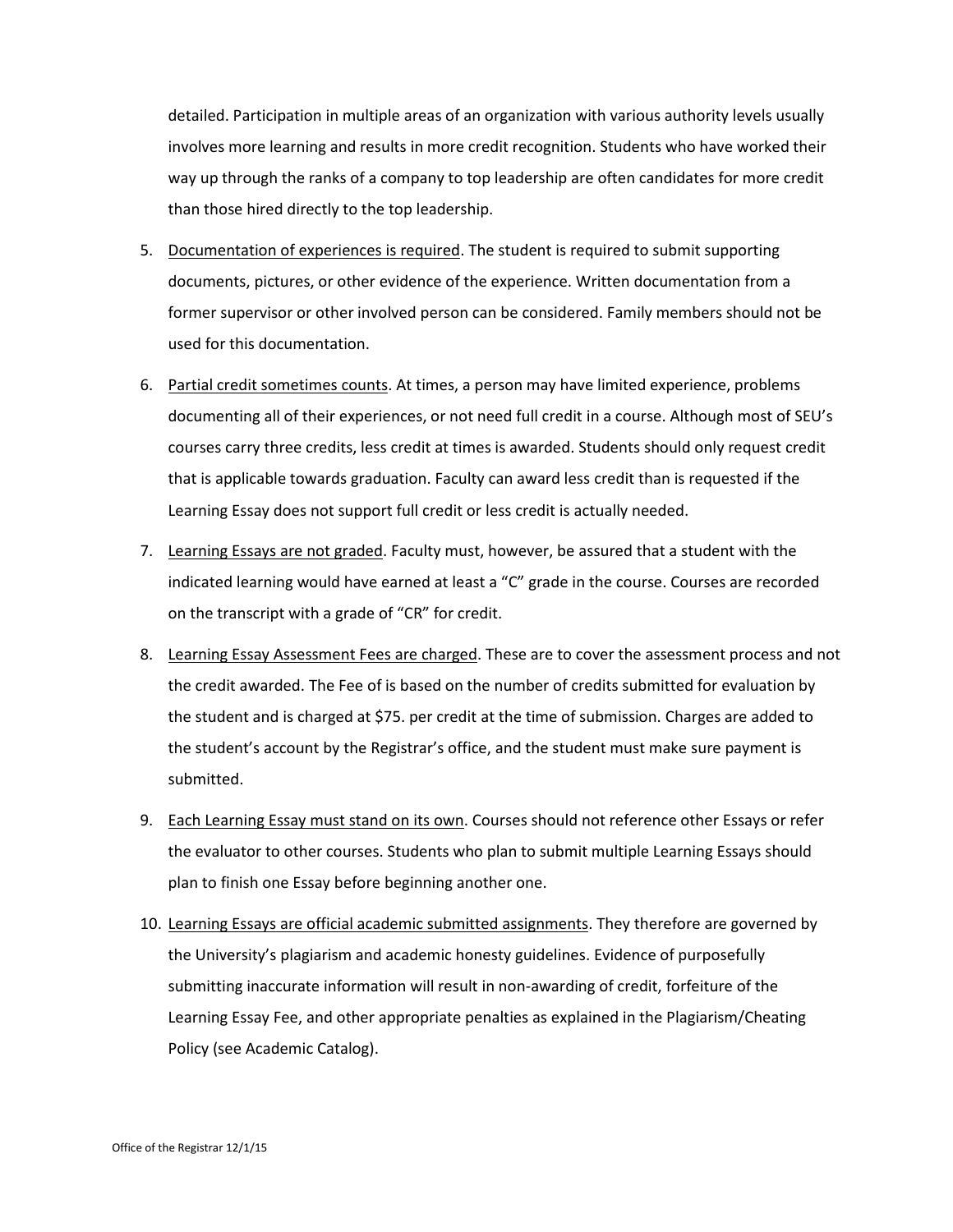detailed. Participation in multiple areas of an organization with various authority levels usually involves more learning and results in more credit recognition. Students who have worked their way up through the ranks of a company to top leadership are often candidates for more credit than those hired directly to the top leadership.

- 5. Documentation of experiences is required. The student is required to submit supporting documents, pictures, or other evidence of the experience. Written documentation from a former supervisor or other involved person can be considered. Family members should not be used for this documentation.
- 6. Partial credit sometimes counts. At times, a person may have limited experience, problems documenting all of their experiences, or not need full credit in a course. Although most of SEU's courses carry three credits, less credit at times is awarded. Students should only request credit that is applicable towards graduation. Faculty can award less credit than is requested if the Learning Essay does not support full credit or less credit is actually needed.
- 7. Learning Essays are not graded. Faculty must, however, be assured that a student with the indicated learning would have earned at least a "C" grade in the course. Courses are recorded on the transcript with a grade of "CR" for credit.
- 8. Learning Essay Assessment Fees are charged. These are to cover the assessment process and not the credit awarded. The Fee of is based on the number of credits submitted for evaluation by the student and is charged at \$75. per credit at the time of submission. Charges are added to the student's account by the Registrar's office, and the student must make sure payment is submitted.
- 9. Each Learning Essay must stand on its own. Courses should not reference other Essays or refer the evaluator to other courses. Students who plan to submit multiple Learning Essays should plan to finish one Essay before beginning another one.
- 10. Learning Essays are official academic submitted assignments. They therefore are governed by the University's plagiarism and academic honesty guidelines. Evidence of purposefully submitting inaccurate information will result in non-awarding of credit, forfeiture of the Learning Essay Fee, and other appropriate penalties as explained in the Plagiarism/Cheating Policy (see Academic Catalog).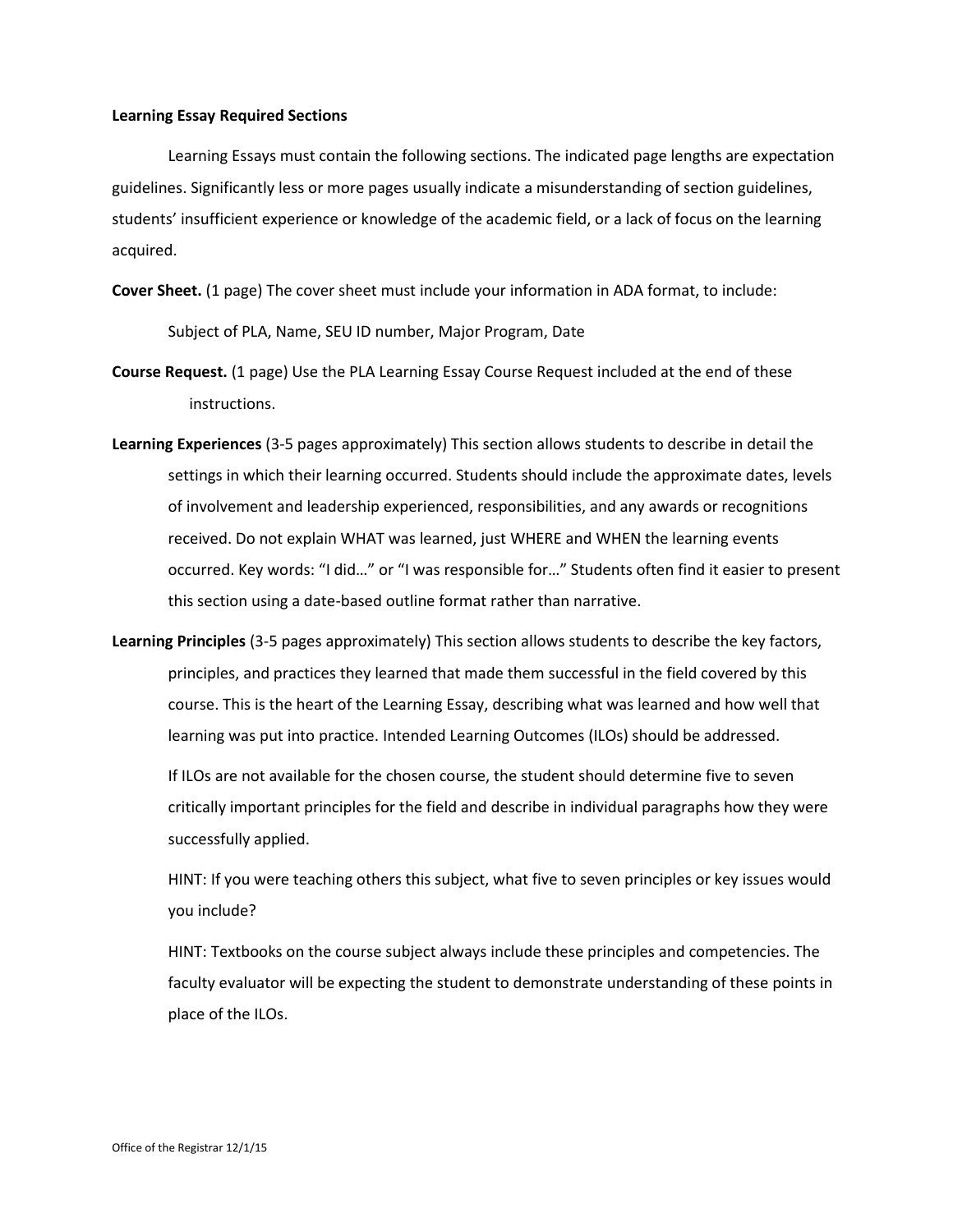#### **Learning Essay Required Sections**

Learning Essays must contain the following sections. The indicated page lengths are expectation guidelines. Significantly less or more pages usually indicate a misunderstanding of section guidelines, students' insufficient experience or knowledge of the academic field, or a lack of focus on the learning acquired.

**Cover Sheet.** (1 page) The cover sheet must include your information in ADA format, to include:

Subject of PLA, Name, SEU ID number, Major Program, Date

- **Course Request.** (1 page) Use the PLA Learning Essay Course Request included at the end of these instructions.
- **Learning Experiences** (3-5 pages approximately) This section allows students to describe in detail the settings in which their learning occurred. Students should include the approximate dates, levels of involvement and leadership experienced, responsibilities, and any awards or recognitions received. Do not explain WHAT was learned, just WHERE and WHEN the learning events occurred. Key words: "I did…" or "I was responsible for…" Students often find it easier to present this section using a date-based outline format rather than narrative.
- **Learning Principles** (3-5 pages approximately) This section allows students to describe the key factors, principles, and practices they learned that made them successful in the field covered by this course. This is the heart of the Learning Essay, describing what was learned and how well that learning was put into practice. Intended Learning Outcomes (ILOs) should be addressed.

If ILOs are not available for the chosen course, the student should determine five to seven critically important principles for the field and describe in individual paragraphs how they were successfully applied.

HINT: If you were teaching others this subject, what five to seven principles or key issues would you include?

HINT: Textbooks on the course subject always include these principles and competencies. The faculty evaluator will be expecting the student to demonstrate understanding of these points in place of the ILOs.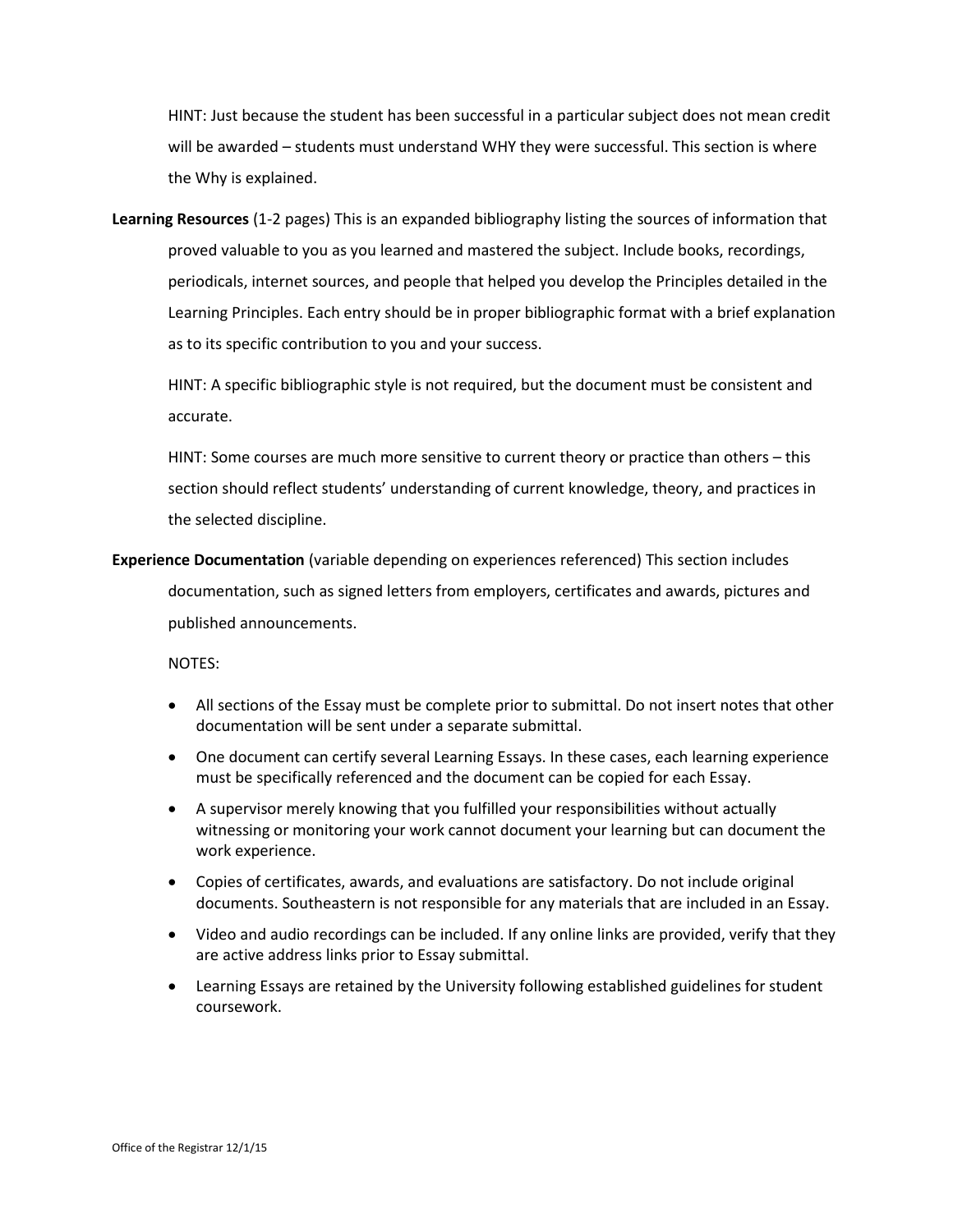HINT: Just because the student has been successful in a particular subject does not mean credit will be awarded – students must understand WHY they were successful. This section is where the Why is explained.

**Learning Resources** (1-2 pages) This is an expanded bibliography listing the sources of information that proved valuable to you as you learned and mastered the subject. Include books, recordings, periodicals, internet sources, and people that helped you develop the Principles detailed in the Learning Principles. Each entry should be in proper bibliographic format with a brief explanation as to its specific contribution to you and your success.

HINT: A specific bibliographic style is not required, but the document must be consistent and accurate.

HINT: Some courses are much more sensitive to current theory or practice than others – this section should reflect students' understanding of current knowledge, theory, and practices in the selected discipline.

**Experience Documentation** (variable depending on experiences referenced) This section includes

documentation, such as signed letters from employers, certificates and awards, pictures and published announcements.

NOTES:

- All sections of the Essay must be complete prior to submittal. Do not insert notes that other documentation will be sent under a separate submittal.
- One document can certify several Learning Essays. In these cases, each learning experience must be specifically referenced and the document can be copied for each Essay.
- A supervisor merely knowing that you fulfilled your responsibilities without actually witnessing or monitoring your work cannot document your learning but can document the work experience.
- Copies of certificates, awards, and evaluations are satisfactory. Do not include original documents. Southeastern is not responsible for any materials that are included in an Essay.
- Video and audio recordings can be included. If any online links are provided, verify that they are active address links prior to Essay submittal.
- Learning Essays are retained by the University following established guidelines for student coursework.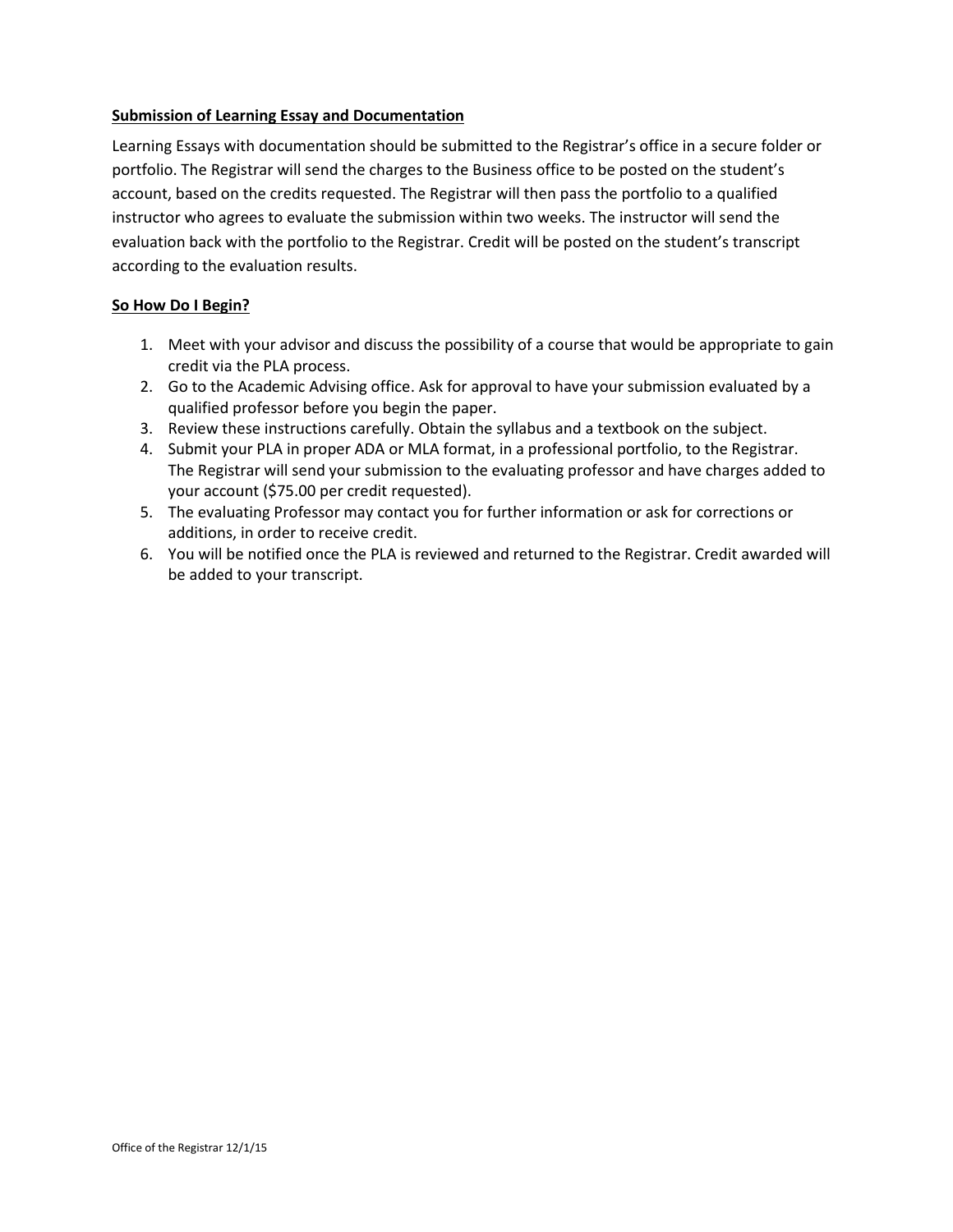#### **Submission of Learning Essay and Documentation**

Learning Essays with documentation should be submitted to the Registrar's office in a secure folder or portfolio. The Registrar will send the charges to the Business office to be posted on the student's account, based on the credits requested. The Registrar will then pass the portfolio to a qualified instructor who agrees to evaluate the submission within two weeks. The instructor will send the evaluation back with the portfolio to the Registrar. Credit will be posted on the student's transcript according to the evaluation results.

#### **So How Do I Begin?**

- 1. Meet with your advisor and discuss the possibility of a course that would be appropriate to gain credit via the PLA process.
- 2. Go to the Academic Advising office. Ask for approval to have your submission evaluated by a qualified professor before you begin the paper.
- 3. Review these instructions carefully. Obtain the syllabus and a textbook on the subject.
- 4. Submit your PLA in proper ADA or MLA format, in a professional portfolio, to the Registrar. The Registrar will send your submission to the evaluating professor and have charges added to your account (\$75.00 per credit requested).
- 5. The evaluating Professor may contact you for further information or ask for corrections or additions, in order to receive credit.
- 6. You will be notified once the PLA is reviewed and returned to the Registrar. Credit awarded will be added to your transcript.